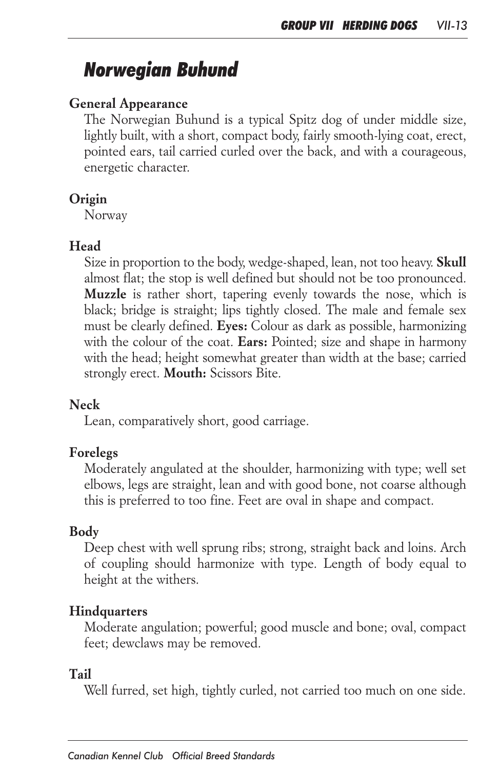# *Norwegian Buhund*

## *General Appearance*

*The Norwegian Buhund is a typical Spitz dog of under middle size,*  lightly built, with a short, compact body, fairly smooth-lying coat, erect, *pointed ears, tail carried curled over the back, and with a courageous, energetic character.*

#### *Origin*

*Norway*

## *Head*

*Size in proportion to the body, wedge-shaped, lean, not too heavy. Skull almost flat; the stop is well defined but should not be too pronounced. Muzzle is rather short, tapering evenly towards the nose, which is black; bridge is straight; lips tightly closed. The male and female sex must be clearly defined. Eyes: Colour as dark as possible, harmonizing with the colour of the coat. Ears: Pointed; size and shape in harmony*  with the head; height somewhat greater than width at the base; carried *strongly erect. Mouth: Scissors Bite.*

#### *Neck*

*Lean, comparatively short, good carriage.*

#### *Forelegs*

*Moderately angulated at the shoulder, harmonizing with type; well set elbows, legs are straight, lean and with good bone, not coarse although this is preferred to too fine. Feet are oval in shape and compact.*

## *Body*

*Deep chest with well sprung ribs; strong, straight back and loins. Arch of coupling should harmonize with type. Length of body equal to height at the withers.*

#### *Hindquarters*

*Moderate angulation; powerful; good muscle and bone; oval, compact feet; dewclaws may be removed.*

#### *Tail*

*Well furred, set high, tightly curled, not carried too much on one side.*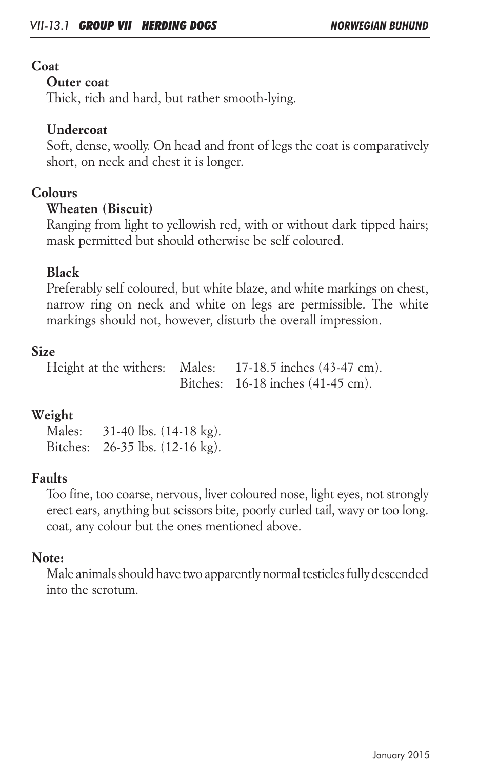## *Coat*

### *Outer coat*

*Thick, rich and hard, but rather smooth-lying.* 

## *Undercoat*

*Soft, dense, woolly. On head and front of legs the coat is comparatively short, on neck and chest it is longer.*

## *Colours*

## *Wheaten (Biscuit)*

*Ranging from light to yellowish red, with or without dark tipped hairs; mask permitted but should otherwise be self coloured.*

## *Black*

*Preferably self coloured, but white blaze, and white markings on chest, narrow ring on neck and white on legs are permissible. The white markings should not, however, disturb the overall impression.*

## *Size*

*Height at the withers: Males: 17-18.5 inches (43-47 cm). Bitches: 16-18 inches (41-45 cm).*

## *Weight*

*Males: 31-40 lbs. (14-18 kg). Bitches: 26-35 lbs. (12-16 kg).*

## *Faults*

*Too fine, too coarse, nervous, liver coloured nose, light eyes, not strongly erect ears, anything but scissors bite, poorly curled tail, wavy or too long. coat, any colour but the ones mentioned above.*

## *Note:*

*Male animals should have two apparently normal testicles fully descended into the scrotum.*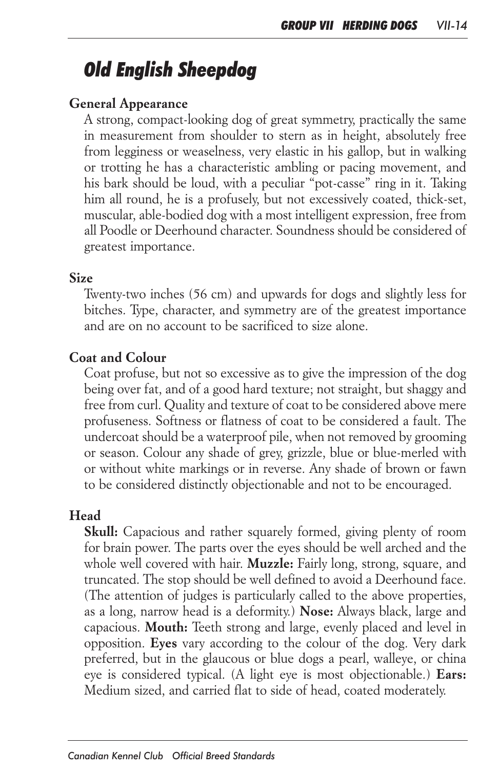# *Old English Sheepdog*

## *General Appearance*

*A strong, compact-looking dog of great symmetry, practically the same in measurement from shoulder to stern as in height, absolutely free from legginess or weaselness, very elastic in his gallop, but in walking or trotting he has a characteristic ambling or pacing movement, and his bark should be loud, with a peculiar "pot-casse" ring in it. Taking him all round, he is a profusely, but not excessively coated, thick-set, muscular, able-bodied dog with a most intelligent expression, free from all Poodle or Deerhound character. Soundness should be considered of greatest importance.*

#### *Size*

*Twenty-two inches (56 cm) and upwards for dogs and slightly less for bitches. Type, character, and symmetry are of the greatest importance and are on no account to be sacrificed to size alone.*

#### *Coat and Colour*

*Coat profuse, but not so excessive as to give the impression of the dog being over fat, and of a good hard texture; not straight, but shaggy and free from curl. Quality and texture of coat to be considered above mere*  profuseness. Softness or flatness of coat to be considered a fault. The *undercoat should be a waterproof pile, when not removed by grooming or season. Colour any shade of grey, grizzle, blue or blue-merled with or without white markings or in reverse. Any shade of brown or fawn to be considered distinctly objectionable and not to be encouraged.*

#### *Head*

*Skull: Capacious and rather squarely formed, giving plenty of room*  for brain power. The parts over the eyes should be well arched and the *whole well covered with hair. Muzzle: Fairly long, strong, square, and truncated. The stop should be well defined to avoid a Deerhound face. (The attention of judges is particularly called to the above properties, as a long, narrow head is a deformity.) Nose: Always black, large and capacious. Mouth: Teeth strong and large, evenly placed and level in opposition. Eyes vary according to the colour of the dog. Very dark preferred, but in the glaucous or blue dogs a pearl, walleye, or china eye is considered typical. (A light eye is most objectionable.) Ears: Medium sized, and carried flat to side of head, coated moderately.*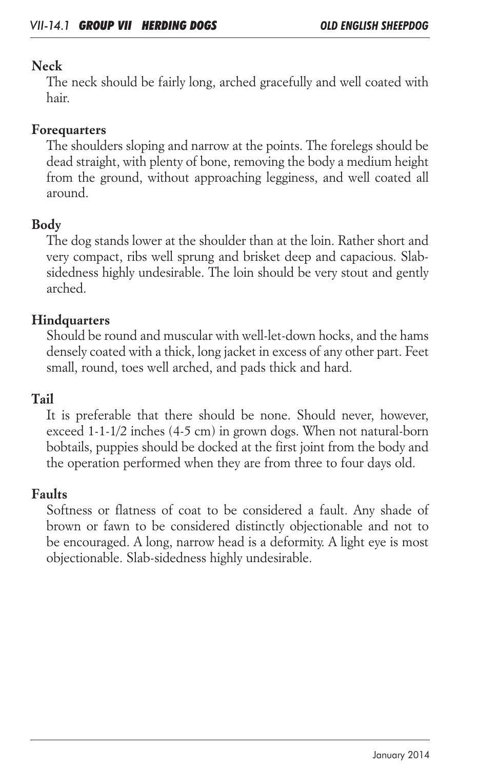## *Neck*

*The neck should be fairly long, arched gracefully and well coated with hair.*

## *Forequarters*

*The shoulders sloping and narrow at the points. The forelegs should be dead straight, with plenty of bone, removing the body a medium height*  from the ground, without approaching legginess, and well coated all *around.*

## *Body*

*The dog stands lower at the shoulder than at the loin. Rather short and very compact, ribs well sprung and brisket deep and capacious. Slabsidedness highly undesirable. The loin should be very stout and gently arched.*

## *Hindquarters*

*Should be round and muscular with well-let-down hocks, and the hams densely coated with a thick, long jacket in excess of any other part. Feet small, round, toes well arched, and pads thick and hard.*

## *Tail*

It is preferable that there should be none. Should never, however, *exceed 1-1-1/2 inches (4-5 cm) in grown dogs. When not natural-born bobtails, puppies should be docked at the first joint from the body and the operation performed when they are from three to four days old.*

## *Faults*

Softness or flatness of coat to be considered a fault. Any shade of brown or fawn to be considered distinctly objectionable and not to *be encouraged. A long, narrow head is a deformity. A light eye is most objectionable. Slab-sidedness highly undesirable.*